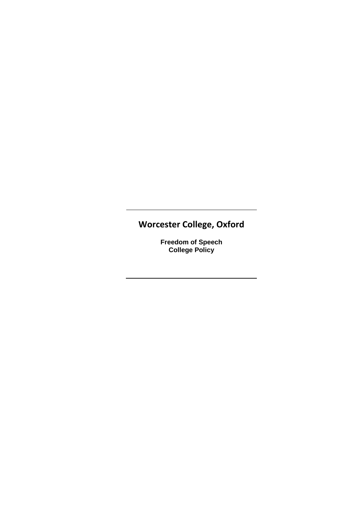# **Worcester College, Oxford**

**Freedom of Speech College Policy**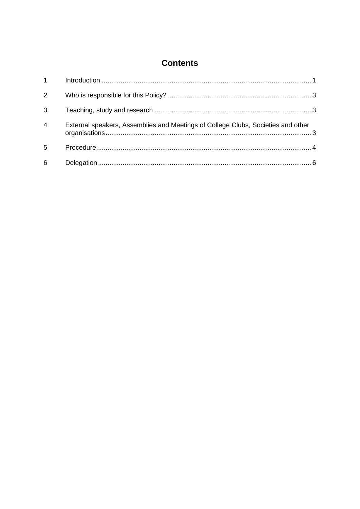## **Contents**

| $\mathbf{1}$   |                                                                                  |  |
|----------------|----------------------------------------------------------------------------------|--|
| 2              |                                                                                  |  |
| 3              |                                                                                  |  |
| $\overline{4}$ | External speakers, Assemblies and Meetings of College Clubs, Societies and other |  |
| 5              |                                                                                  |  |
| 6              |                                                                                  |  |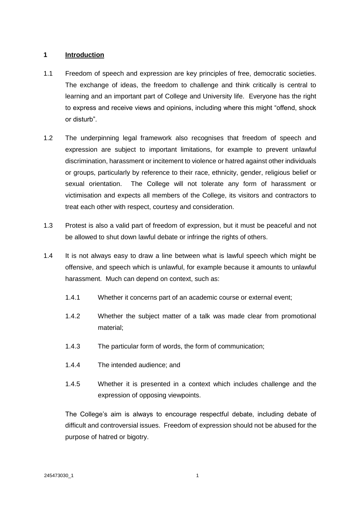#### **1 Introduction**

- 1.1 Freedom of speech and expression are key principles of free, democratic societies. The exchange of ideas, the freedom to challenge and think critically is central to learning and an important part of College and University life. Everyone has the right to express and receive views and opinions, including where this might "offend, shock or disturb".
- 1.2 The underpinning legal framework also recognises that freedom of speech and expression are subject to important limitations, for example to prevent unlawful discrimination, harassment or incitement to violence or hatred against other individuals or groups, particularly by reference to their race, ethnicity, gender, religious belief or sexual orientation. The College will not tolerate any form of harassment or victimisation and expects all members of the College, its visitors and contractors to treat each other with respect, courtesy and consideration.
- 1.3 Protest is also a valid part of freedom of expression, but it must be peaceful and not be allowed to shut down lawful debate or infringe the rights of others.
- 1.4 It is not always easy to draw a line between what is lawful speech which might be offensive, and speech which is unlawful, for example because it amounts to unlawful harassment. Much can depend on context, such as:
	- 1.4.1 Whether it concerns part of an academic course or external event;
	- 1.4.2 Whether the subject matter of a talk was made clear from promotional material;
	- 1.4.3 The particular form of words, the form of communication;
	- 1.4.4 The intended audience; and
	- 1.4.5 Whether it is presented in a context which includes challenge and the expression of opposing viewpoints.

The College's aim is always to encourage respectful debate, including debate of difficult and controversial issues. Freedom of expression should not be abused for the purpose of hatred or bigotry.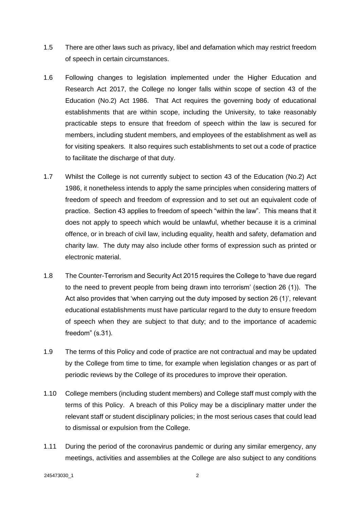- 1.5 There are other laws such as privacy, libel and defamation which may restrict freedom of speech in certain circumstances.
- 1.6 Following changes to legislation implemented under the Higher Education and Research Act 2017, the College no longer falls within scope of section 43 of the Education (No.2) Act 1986. That Act requires the governing body of educational establishments that are within scope, including the University, to take reasonably practicable steps to ensure that freedom of speech within the law is secured for members, including student members, and employees of the establishment as well as for visiting speakers. It also requires such establishments to set out a code of practice to facilitate the discharge of that duty.
- 1.7 Whilst the College is not currently subject to section 43 of the Education (No.2) Act 1986, it nonetheless intends to apply the same principles when considering matters of freedom of speech and freedom of expression and to set out an equivalent code of practice. Section 43 applies to freedom of speech "within the law". This means that it does not apply to speech which would be unlawful, whether because it is a criminal offence, or in breach of civil law, including equality, health and safety, defamation and charity law. The duty may also include other forms of expression such as printed or electronic material.
- 1.8 The Counter-Terrorism and Security Act 2015 requires the College to 'have due regard to the need to prevent people from being drawn into terrorism' (section 26 (1)). The Act also provides that 'when carrying out the duty imposed by section 26 (1)', relevant educational establishments must have particular regard to the duty to ensure freedom of speech when they are subject to that duty; and to the importance of academic freedom" (s.31).
- 1.9 The terms of this Policy and code of practice are not contractual and may be updated by the College from time to time, for example when legislation changes or as part of periodic reviews by the College of its procedures to improve their operation.
- 1.10 College members (including student members) and College staff must comply with the terms of this Policy. A breach of this Policy may be a disciplinary matter under the relevant staff or student disciplinary policies; in the most serious cases that could lead to dismissal or expulsion from the College.
- 1.11 During the period of the coronavirus pandemic or during any similar emergency, any meetings, activities and assemblies at the College are also subject to any conditions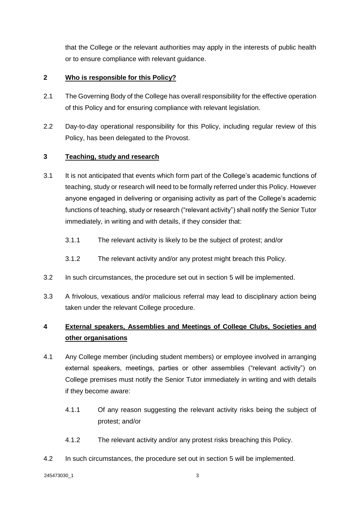that the College or the relevant authorities may apply in the interests of public health or to ensure compliance with relevant guidance.

#### **2 Who is responsible for this Policy?**

- 2.1 The Governing Body of the College has overall responsibility for the effective operation of this Policy and for ensuring compliance with relevant legislation.
- 2.2 Day-to-day operational responsibility for this Policy, including regular review of this Policy, has been delegated to the Provost.

#### **3 Teaching, study and research**

- 3.1 It is not anticipated that events which form part of the College's academic functions of teaching, study or research will need to be formally referred under this Policy. However anyone engaged in delivering or organising activity as part of the College's academic functions of teaching, study or research ("relevant activity") shall notify the Senior Tutor immediately, in writing and with details, if they consider that:
	- 3.1.1 The relevant activity is likely to be the subject of protest; and/or
	- 3.1.2 The relevant activity and/or any protest might breach this Policy.
- 3.2 In such circumstances, the procedure set out in section 5 will be implemented.
- 3.3 A frivolous, vexatious and/or malicious referral may lead to disciplinary action being taken under the relevant College procedure.

### **4 External speakers, Assemblies and Meetings of College Clubs, Societies and other organisations**

- 4.1 Any College member (including student members) or employee involved in arranging external speakers, meetings, parties or other assemblies ("relevant activity") on College premises must notify the Senior Tutor immediately in writing and with details if they become aware:
	- 4.1.1 Of any reason suggesting the relevant activity risks being the subject of protest; and/or
	- 4.1.2 The relevant activity and/or any protest risks breaching this Policy.
- 4.2 In such circumstances, the procedure set out in section [5](#page-5-0) will be implemented.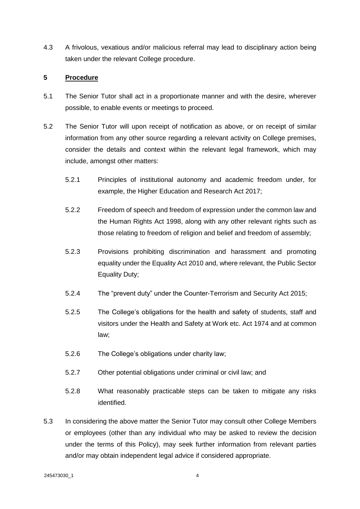4.3 A frivolous, vexatious and/or malicious referral may lead to disciplinary action being taken under the relevant College procedure.

#### <span id="page-5-0"></span>**5 Procedure**

- 5.1 The Senior Tutor shall act in a proportionate manner and with the desire, wherever possible, to enable events or meetings to proceed.
- 5.2 The Senior Tutor will upon receipt of notification as above, or on receipt of similar information from any other source regarding a relevant activity on College premises, consider the details and context within the relevant legal framework, which may include, amongst other matters:
	- 5.2.1 Principles of institutional autonomy and academic freedom under, for example, the Higher Education and Research Act 2017;
	- 5.2.2 Freedom of speech and freedom of expression under the common law and the Human Rights Act 1998, along with any other relevant rights such as those relating to freedom of religion and belief and freedom of assembly;
	- 5.2.3 Provisions prohibiting discrimination and harassment and promoting equality under the Equality Act 2010 and, where relevant, the Public Sector Equality Duty;
	- 5.2.4 The "prevent duty" under the Counter-Terrorism and Security Act 2015;
	- 5.2.5 The College's obligations for the health and safety of students, staff and visitors under the Health and Safety at Work etc. Act 1974 and at common law;
	- 5.2.6 The College's obligations under charity law;
	- 5.2.7 Other potential obligations under criminal or civil law; and
	- 5.2.8 What reasonably practicable steps can be taken to mitigate any risks identified.
- 5.3 In considering the above matter the Senior Tutor may consult other College Members or employees (other than any individual who may be asked to review the decision under the terms of this Policy), may seek further information from relevant parties and/or may obtain independent legal advice if considered appropriate.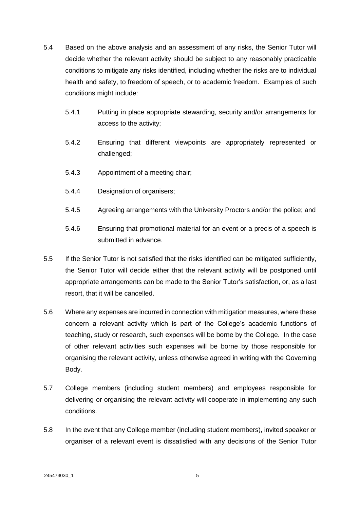- 5.4 Based on the above analysis and an assessment of any risks, the Senior Tutor will decide whether the relevant activity should be subject to any reasonably practicable conditions to mitigate any risks identified, including whether the risks are to individual health and safety, to freedom of speech, or to academic freedom. Examples of such conditions might include:
	- 5.4.1 Putting in place appropriate stewarding, security and/or arrangements for access to the activity;
	- 5.4.2 Ensuring that different viewpoints are appropriately represented or challenged;
	- 5.4.3 Appointment of a meeting chair;
	- 5.4.4 Designation of organisers;
	- 5.4.5 Agreeing arrangements with the University Proctors and/or the police; and
	- 5.4.6 Ensuring that promotional material for an event or a precis of a speech is submitted in advance.
- 5.5 If the Senior Tutor is not satisfied that the risks identified can be mitigated sufficiently, the Senior Tutor will decide either that the relevant activity will be postponed until appropriate arrangements can be made to the Senior Tutor's satisfaction, or, as a last resort, that it will be cancelled.
- 5.6 Where any expenses are incurred in connection with mitigation measures, where these concern a relevant activity which is part of the College's academic functions of teaching, study or research, such expenses will be borne by the College. In the case of other relevant activities such expenses will be borne by those responsible for organising the relevant activity, unless otherwise agreed in writing with the Governing Body.
- 5.7 College members (including student members) and employees responsible for delivering or organising the relevant activity will cooperate in implementing any such conditions.
- 5.8 In the event that any College member (including student members), invited speaker or organiser of a relevant event is dissatisfied with any decisions of the Senior Tutor